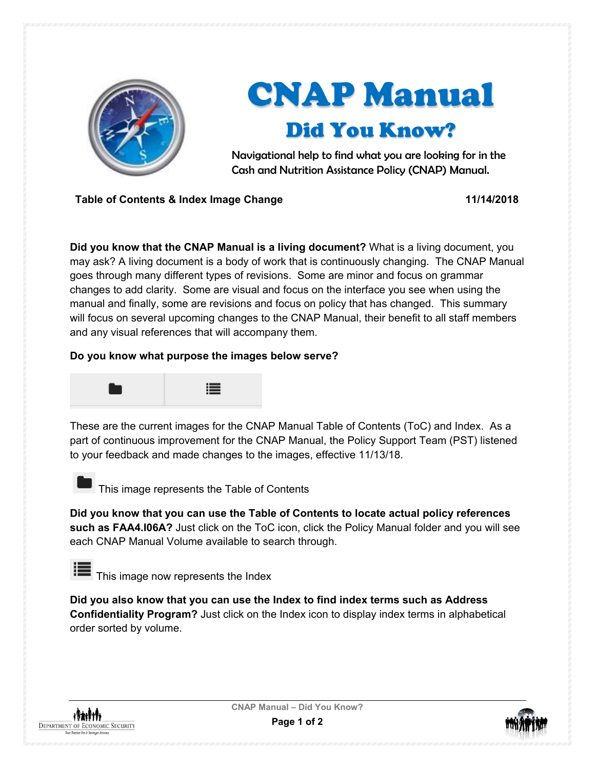

## CNAP Manual Did You Know?

Navigational help to find what you are looking for in the Cash and Nutrition Assistance Policy (CNAP) Manual.

**Table of Contents & Index Image Change 11/14/2018**

**Did you know that the CNAP Manual is a living document?** What is a living document, you may ask? A living document is a body of work that is continuously changing. The CNAP Manual goes through many different types of revisions. Some are minor and focus on grammar changes to add clarity. Some are visual and focus on the interface you see when using the manual and finally, some are revisions and focus on policy that has changed. This summary will focus on several upcoming changes to the CNAP Manual, their benefit to all staff members and any visual references that will accompany them.

## **Do you know what purpose the images below serve?**



These are the current images for the CNAP Manual Table of Contents (ToC) and Index. As a part of continuous improvement for the CNAP Manual, the Policy Support Team (PST) listened to your feedback and made changes to the images, effective 11/13/18.



This image represents the Table of Contents

**Did you know that you can use the Table of Contents to locate actual policy references such as FAA4.I06A?** Just click on the ToC icon, click the Policy Manual folder and you will see each CNAP Manual Volume available to search through.

This image now represents the Index

**Did you also know that you can use the Index to find index terms such as Address Confidentiality Program?** Just click on the Index icon to display index terms in alphabetical order sorted by volume.